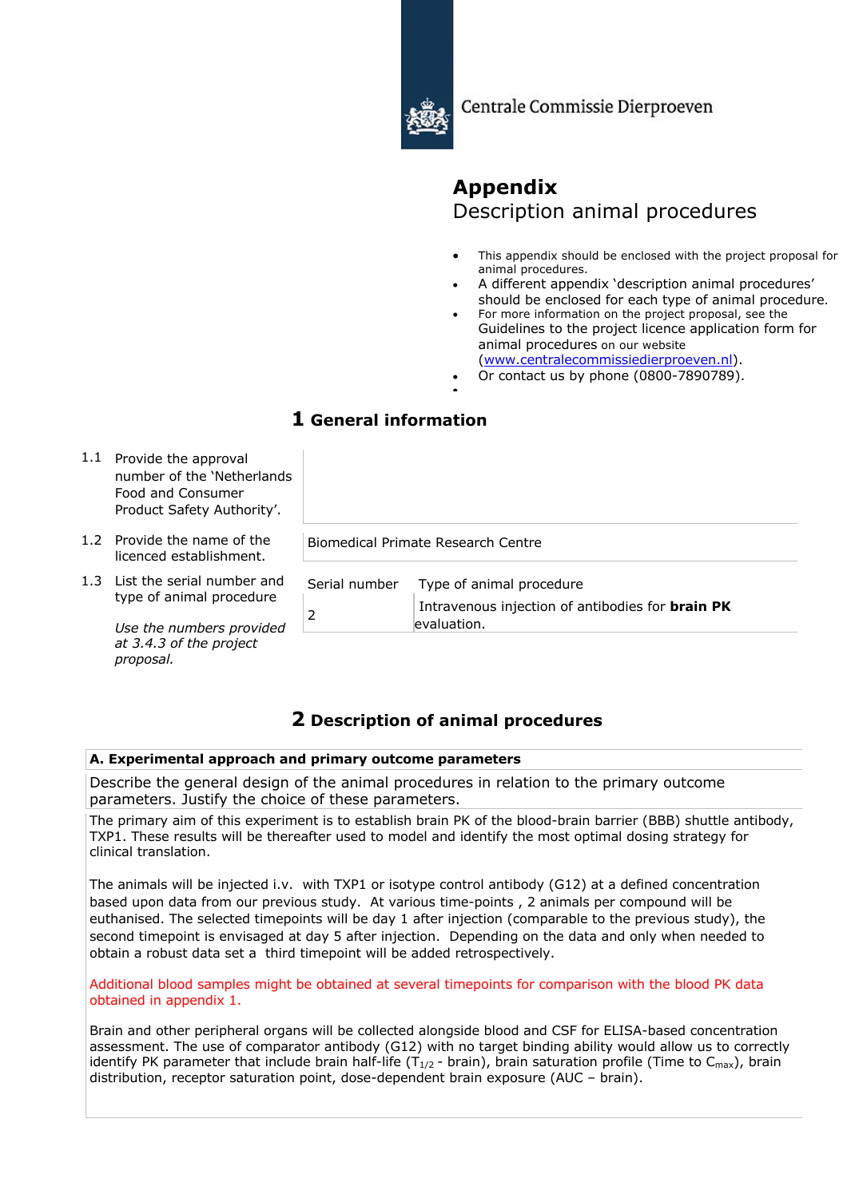

Centrale Commissie Dierproeven

# **Appendix** Description animal procedures

- This appendix should be enclosed with the project proposal for animal procedures.
- A different appendix 'description animal procedures' should be enclosed for each type of animal procedure.
- For more information on the project proposal, see the Guidelines to the project licence application form for animal procedures on our website (www.centralecommissiedierproeven.nl).
- Or contact us by phone (0800-7890789).

## •

## **1 General information**

- 1.1 Provide the approval number of the 'Netherlands Food and Consumer Product Safety Authority'.
- 1.2 Provide the name of the licenced establishment.
- 1.3 List the serial number and type of animal procedure

*Use the numbers provided at 3.4.3 of the project proposal.*

| Serial number Type of animal procedure                                 |
|------------------------------------------------------------------------|
| Intravenous injection of antibodies for <b>brain PK</b><br>evaluation. |

## **2 Description of animal procedures**

Biomedical Primate Research Centre

## **A. Experimental approach and primary outcome parameters**

Describe the general design of the animal procedures in relation to the primary outcome parameters. Justify the choice of these parameters.

The primary aim of this experiment is to establish brain PK of the blood-brain barrier (BBB) shuttle antibody, TXP1. These results will be thereafter used to model and identify the most optimal dosing strategy for clinical translation.

The animals will be injected i.v. with TXP1 or isotype control antibody (G12) at a defined concentration based upon data from our previous study. At various time-points , 2 animals per compound will be euthanised. The selected timepoints will be day 1 after injection (comparable to the previous study), the second timepoint is envisaged at day 5 after injection. Depending on the data and only when needed to obtain a robust data set a third timepoint will be added retrospectively.

Additional blood samples might be obtained at several timepoints for comparison with the blood PK data obtained in appendix 1.

Brain and other peripheral organs will be collected alongside blood and CSF for ELISA-based concentration assessment. The use of comparator antibody (G12) with no target binding ability would allow us to correctly identify PK parameter that include brain half-life ( $T_{1/2}$  - brain), brain saturation profile (Time to C<sub>max</sub>), brain distribution, receptor saturation point, dose-dependent brain exposure (AUC – brain).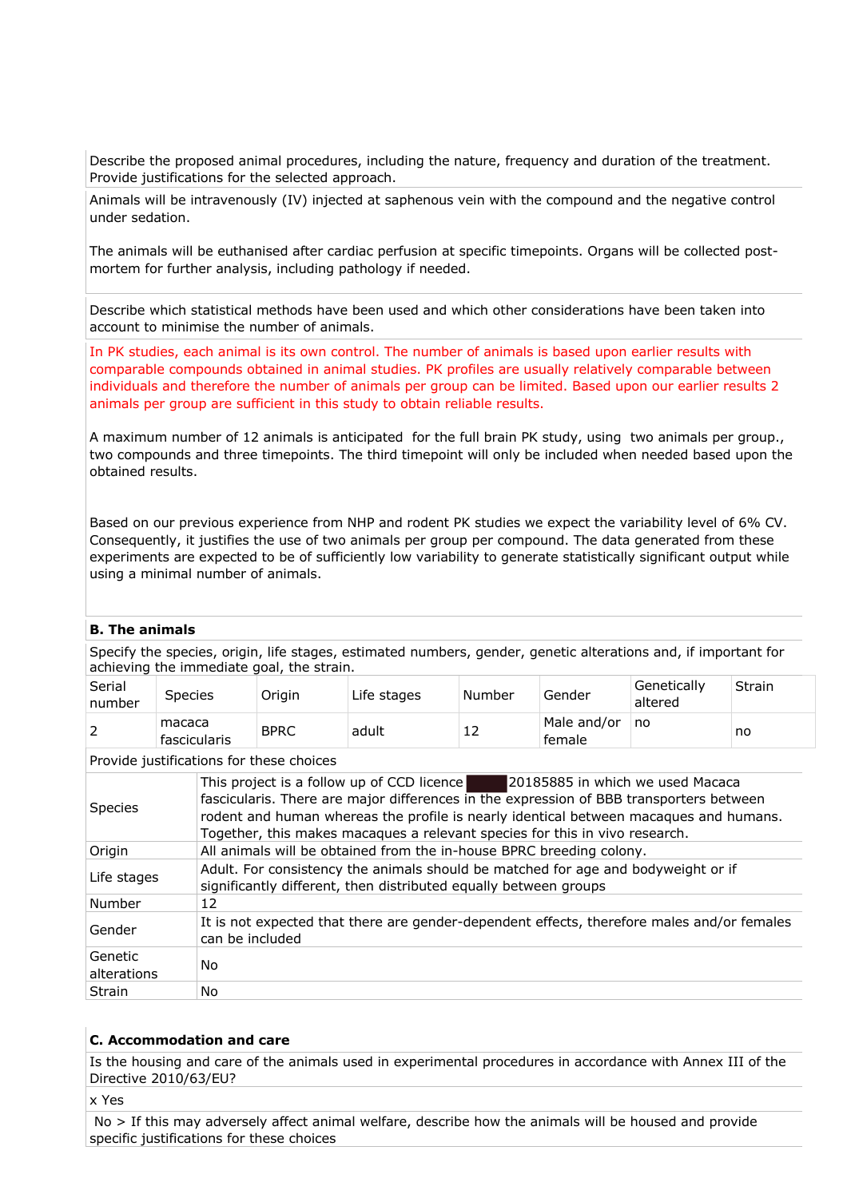Describe the proposed animal procedures, including the nature, frequency and duration of the treatment. Provide justifications for the selected approach.

Animals will be intravenously (IV) injected at saphenous vein with the compound and the negative control under sedation.

The animals will be euthanised after cardiac perfusion at specific timepoints. Organs will be collected postmortem for further analysis, including pathology if needed.

Describe which statistical methods have been used and which other considerations have been taken into account to minimise the number of animals.

In PK studies, each animal is its own control. The number of animals is based upon earlier results with comparable compounds obtained in animal studies. PK profiles are usually relatively comparable between individuals and therefore the number of animals per group can be limited. Based upon our earlier results 2 animals per group are sufficient in this study to obtain reliable results.

A maximum number of 12 animals is anticipated for the full brain PK study, using two animals per group., two compounds and three timepoints. The third timepoint will only be included when needed based upon the obtained results.

Based on our previous experience from NHP and rodent PK studies we expect the variability level of 6% CV. Consequently, it justifies the use of two animals per group per compound. The data generated from these experiments are expected to be of sufficiently low variability to generate statistically significant output while using a minimal number of animals.

#### **B. The animals**

Specify the species, origin, life stages, estimated numbers, gender, genetic alterations and, if important for achieving the immediate goal, the strain.

| Serial<br>number | Species                | Oriain      | Life stages | Number | Gender                | Genetically<br>altered | Strain |
|------------------|------------------------|-------------|-------------|--------|-----------------------|------------------------|--------|
|                  | macaca<br>fascicularis | <b>BPRC</b> | adult       | ᅩ      | Male and/or<br>female | no                     | no     |

Provide justifications for these choices

| <b>Species</b>         | This project is a follow up of CCD licence<br>20185885 in which we used Macaca<br>fascicularis. There are major differences in the expression of BBB transporters between<br>rodent and human whereas the profile is nearly identical between macaques and humans.<br>Together, this makes macaques a relevant species for this in vivo research. |
|------------------------|---------------------------------------------------------------------------------------------------------------------------------------------------------------------------------------------------------------------------------------------------------------------------------------------------------------------------------------------------|
| Origin                 | All animals will be obtained from the in-house BPRC breeding colony.                                                                                                                                                                                                                                                                              |
| Life stages            | Adult. For consistency the animals should be matched for age and bodyweight or if<br>significantly different, then distributed equally between groups                                                                                                                                                                                             |
| Number                 | 12                                                                                                                                                                                                                                                                                                                                                |
| Gender                 | It is not expected that there are gender-dependent effects, therefore males and/or females<br>can be included                                                                                                                                                                                                                                     |
| Genetic<br>alterations | No                                                                                                                                                                                                                                                                                                                                                |
| Strain                 | No                                                                                                                                                                                                                                                                                                                                                |

## **C. Accommodation and care**

Is the housing and care of the animals used in experimental procedures in accordance with Annex III of the Directive 2010/63/EU?

x Yes

No > If this may adversely affect animal welfare, describe how the animals will be housed and provide specific justifications for these choices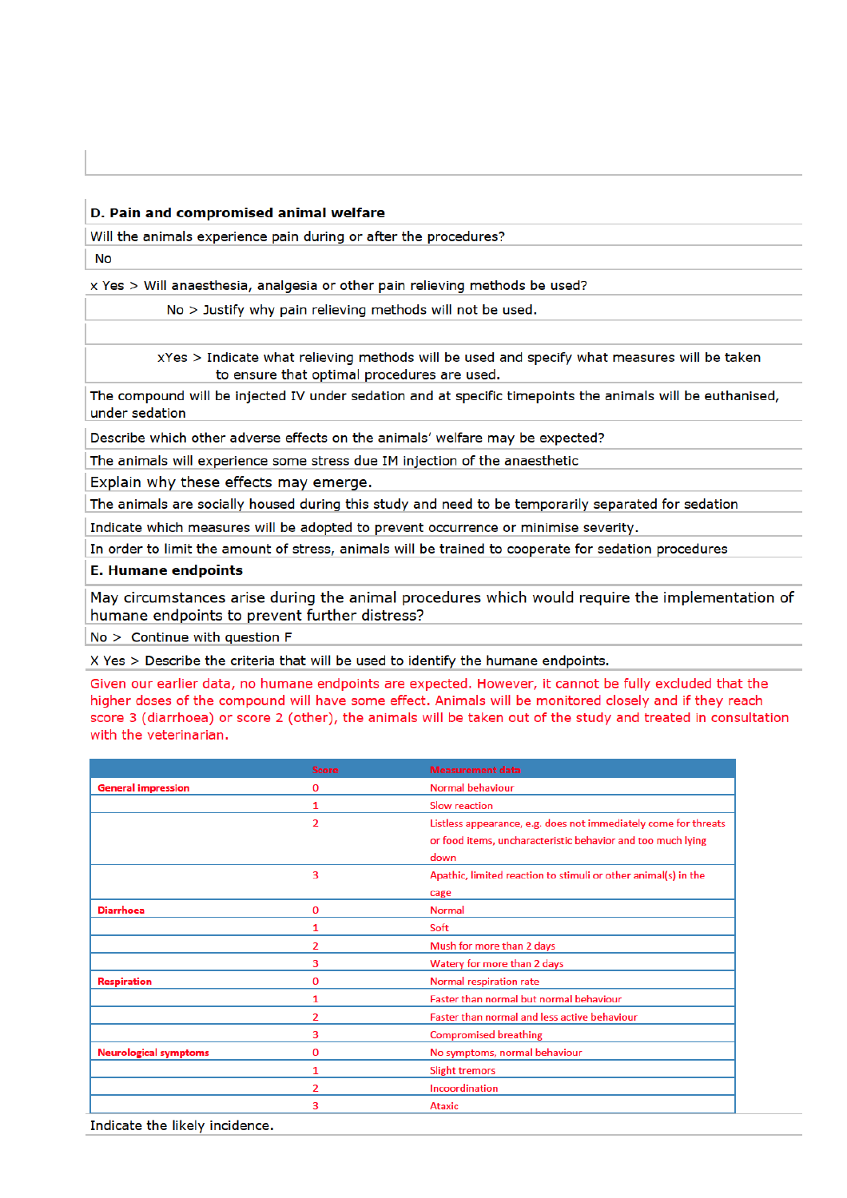## D. Pain and compromised animal welfare

Will the animals experience pain during or after the procedures?

**No** 

x Yes > Will anaesthesia, analgesia or other pain relieving methods be used?

No > Justify why pain relieving methods will not be used.

xYes > Indicate what relieving methods will be used and specify what measures will be taken to ensure that optimal procedures are used.

The compound will be injected IV under sedation and at specific timepoints the animals will be euthanised, under sedation

Describe which other adverse effects on the animals' welfare may be expected?

The animals will experience some stress due IM injection of the anaesthetic

Explain why these effects may emerge.

The animals are socially housed during this study and need to be temporarily separated for sedation

Indicate which measures will be adopted to prevent occurrence or minimise severity.

In order to limit the amount of stress, animals will be trained to cooperate for sedation procedures

## **E. Humane endpoints**

May circumstances arise during the animal procedures which would require the implementation of humane endpoints to prevent further distress?

 $No >$  Continue with question F

X Yes > Describe the criteria that will be used to identify the humane endpoints.

Given our earlier data, no humane endpoints are expected. However, it cannot be fully excluded that the higher doses of the compound will have some effect. Animals will be monitored closely and if they reach score 3 (diarrhoea) or score 2 (other), the animals will be taken out of the study and treated in consultation with the veterinarian.

|                              | <b>Score</b>   | <b>Measurement data</b>                                         |
|------------------------------|----------------|-----------------------------------------------------------------|
| <b>General impression</b>    | 0              | <b>Normal behaviour</b>                                         |
|                              | 1              | <b>Slow reaction</b>                                            |
|                              | $\overline{2}$ | Listless appearance, e.g. does not immediately come for threats |
|                              |                | or food items, uncharacteristic behavior and too much lying     |
|                              |                | down                                                            |
|                              | 3              | Apathic, limited reaction to stimuli or other animal(s) in the  |
|                              |                | cage                                                            |
| <b>Diarrhoea</b>             | 0              | <b>Normal</b>                                                   |
|                              | 1              | Soft                                                            |
|                              | 2              | Mush for more than 2 days                                       |
|                              | 3              | Watery for more than 2 days                                     |
| <b>Respiration</b>           | 0              | Normal respiration rate                                         |
|                              | 1              | Faster than normal but normal behaviour                         |
|                              | 2              | Faster than normal and less active behaviour                    |
|                              | 3              | <b>Compromised breathing</b>                                    |
| <b>Neurological symptoms</b> | 0              | No symptoms, normal behaviour                                   |
|                              | 1              | <b>Slight tremors</b>                                           |
|                              | 2              | Incoordination                                                  |
|                              | 3              | <b>Ataxic</b>                                                   |

Indicate the likely incidence.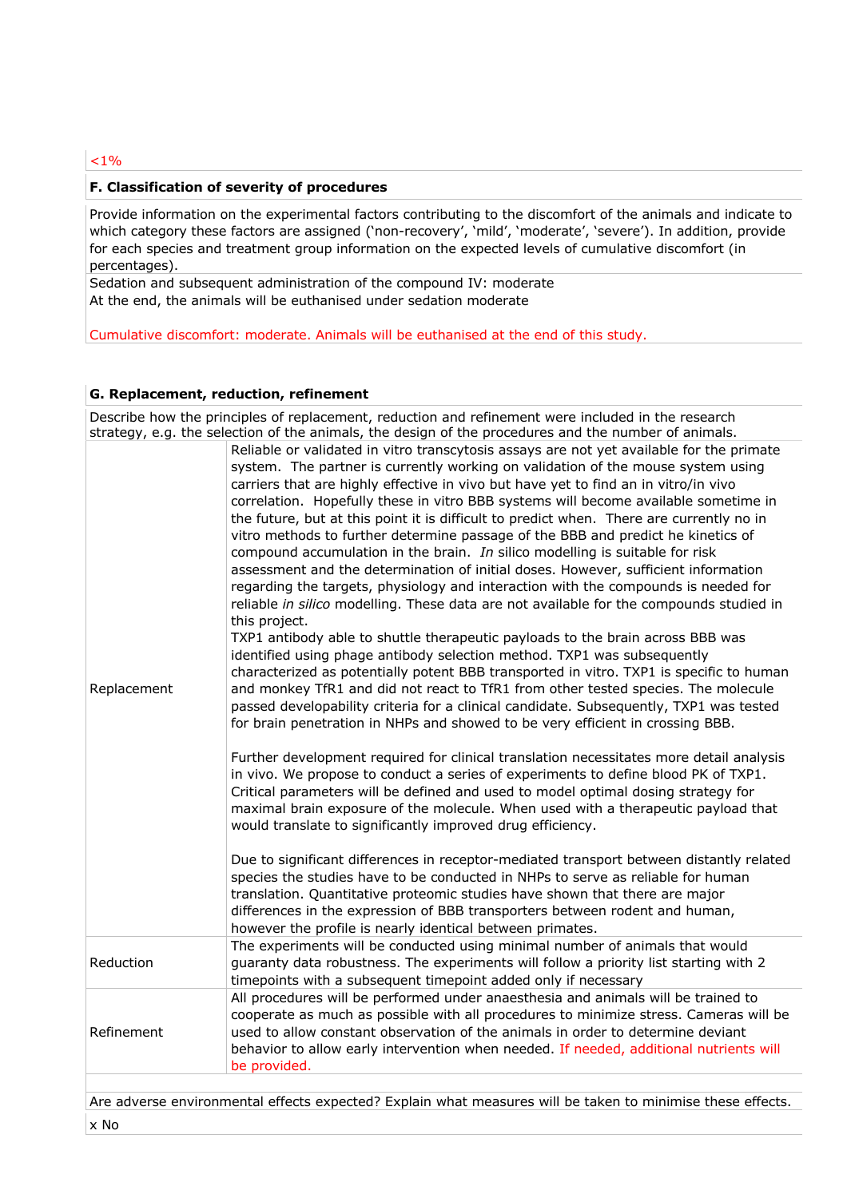## $1\%$

## **F. Classification of severity of procedures**

Provide information on the experimental factors contributing to the discomfort of the animals and indicate to which category these factors are assigned ('non-recovery', 'mild', 'moderate', 'severe'). In addition, provide for each species and treatment group information on the expected levels of cumulative discomfort (in percentages).

Sedation and subsequent administration of the compound IV: moderate At the end, the animals will be euthanised under sedation moderate

Cumulative discomfort: moderate. Animals will be euthanised at the end of this study.

### **G. Replacement, reduction, refinement**

|             | Describe how the principles of replacement, reduction and refinement were included in the research<br>strategy, e.g. the selection of the animals, the design of the procedures and the number of animals.                                                                                                                                                                                                                                                                                                                                                                                                                                                                                                                                                                                                                                                                                                                                                                                                                                                                                                                                                                                                                                                                                                                                                                                                                                                                                                                                                                                                                                                                                                                                                                                                                                                                                                                                                                                                                                                                                                                                                                                                       |
|-------------|------------------------------------------------------------------------------------------------------------------------------------------------------------------------------------------------------------------------------------------------------------------------------------------------------------------------------------------------------------------------------------------------------------------------------------------------------------------------------------------------------------------------------------------------------------------------------------------------------------------------------------------------------------------------------------------------------------------------------------------------------------------------------------------------------------------------------------------------------------------------------------------------------------------------------------------------------------------------------------------------------------------------------------------------------------------------------------------------------------------------------------------------------------------------------------------------------------------------------------------------------------------------------------------------------------------------------------------------------------------------------------------------------------------------------------------------------------------------------------------------------------------------------------------------------------------------------------------------------------------------------------------------------------------------------------------------------------------------------------------------------------------------------------------------------------------------------------------------------------------------------------------------------------------------------------------------------------------------------------------------------------------------------------------------------------------------------------------------------------------------------------------------------------------------------------------------------------------|
| Replacement | Reliable or validated in vitro transcytosis assays are not yet available for the primate<br>system. The partner is currently working on validation of the mouse system using<br>carriers that are highly effective in vivo but have yet to find an in vitro/in vivo<br>correlation. Hopefully these in vitro BBB systems will become available sometime in<br>the future, but at this point it is difficult to predict when. There are currently no in<br>vitro methods to further determine passage of the BBB and predict he kinetics of<br>compound accumulation in the brain. In silico modelling is suitable for risk<br>assessment and the determination of initial doses. However, sufficient information<br>regarding the targets, physiology and interaction with the compounds is needed for<br>reliable in silico modelling. These data are not available for the compounds studied in<br>this project.<br>TXP1 antibody able to shuttle therapeutic payloads to the brain across BBB was<br>identified using phage antibody selection method. TXP1 was subsequently<br>characterized as potentially potent BBB transported in vitro. TXP1 is specific to human<br>and monkey TfR1 and did not react to TfR1 from other tested species. The molecule<br>passed developability criteria for a clinical candidate. Subsequently, TXP1 was tested<br>for brain penetration in NHPs and showed to be very efficient in crossing BBB.<br>Further development required for clinical translation necessitates more detail analysis<br>in vivo. We propose to conduct a series of experiments to define blood PK of TXP1.<br>Critical parameters will be defined and used to model optimal dosing strategy for<br>maximal brain exposure of the molecule. When used with a therapeutic payload that<br>would translate to significantly improved drug efficiency.<br>Due to significant differences in receptor-mediated transport between distantly related<br>species the studies have to be conducted in NHPs to serve as reliable for human<br>translation. Quantitative proteomic studies have shown that there are major<br>differences in the expression of BBB transporters between rodent and human, |
| Reduction   | however the profile is nearly identical between primates.<br>The experiments will be conducted using minimal number of animals that would<br>guaranty data robustness. The experiments will follow a priority list starting with 2<br>timepoints with a subsequent timepoint added only if necessary                                                                                                                                                                                                                                                                                                                                                                                                                                                                                                                                                                                                                                                                                                                                                                                                                                                                                                                                                                                                                                                                                                                                                                                                                                                                                                                                                                                                                                                                                                                                                                                                                                                                                                                                                                                                                                                                                                             |
| Refinement  | All procedures will be performed under anaesthesia and animals will be trained to<br>cooperate as much as possible with all procedures to minimize stress. Cameras will be<br>used to allow constant observation of the animals in order to determine deviant<br>behavior to allow early intervention when needed. If needed, additional nutrients will<br>be provided.                                                                                                                                                                                                                                                                                                                                                                                                                                                                                                                                                                                                                                                                                                                                                                                                                                                                                                                                                                                                                                                                                                                                                                                                                                                                                                                                                                                                                                                                                                                                                                                                                                                                                                                                                                                                                                          |
|             |                                                                                                                                                                                                                                                                                                                                                                                                                                                                                                                                                                                                                                                                                                                                                                                                                                                                                                                                                                                                                                                                                                                                                                                                                                                                                                                                                                                                                                                                                                                                                                                                                                                                                                                                                                                                                                                                                                                                                                                                                                                                                                                                                                                                                  |

Are adverse environmental effects expected? Explain what measures will be taken to minimise these effects. x No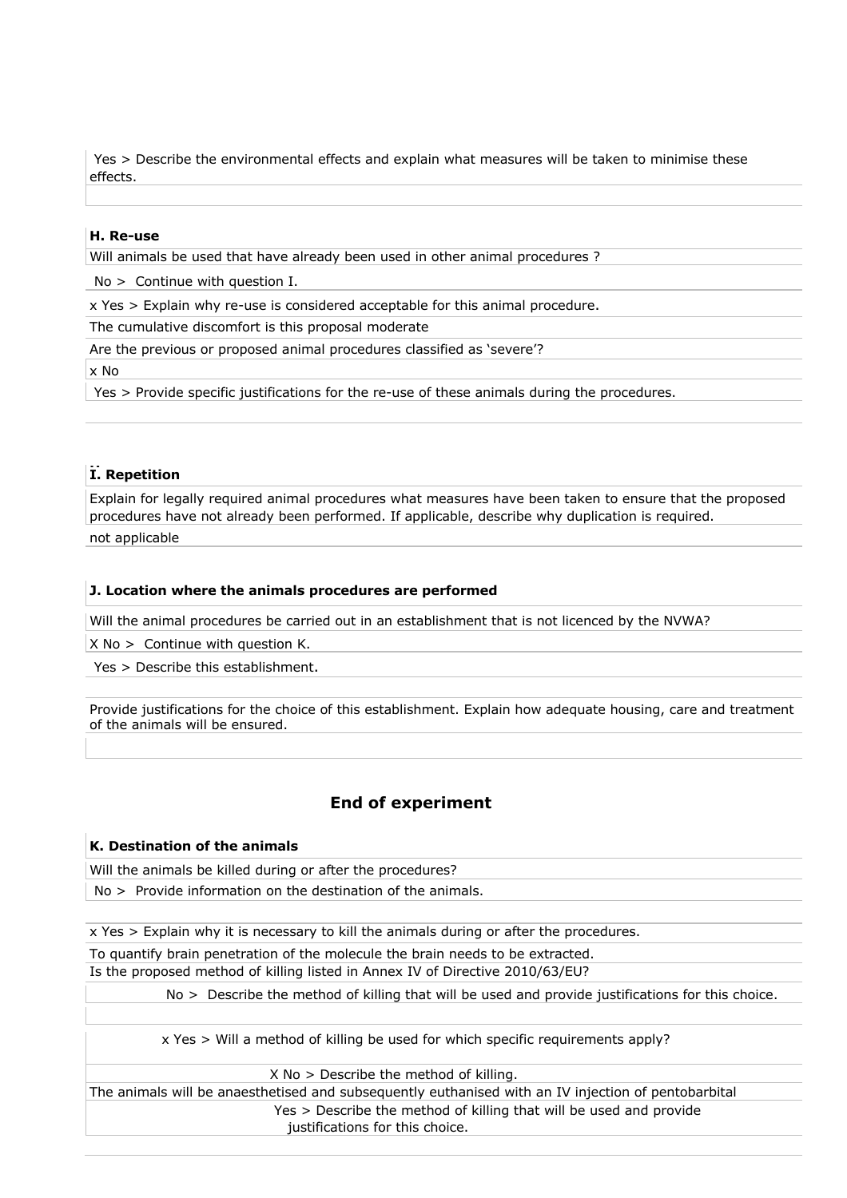Yes > Describe the environmental effects and explain what measures will be taken to minimise these effects.

#### **H. Re-use**

Will animals be used that have already been used in other animal procedures ?

No > Continue with question I.

x Yes > Explain why re-use is considered acceptable for this animal procedure.

The cumulative discomfort is this proposal moderate

Are the previous or proposed animal procedures classified as 'severe'?

x No

Yes > Provide specific justifications for the re-use of these animals during the procedures.

## **HI. Repetition**

Explain for legally required animal procedures what measures have been taken to ensure that the proposed procedures have not already been performed. If applicable, describe why duplication is required.

not applicable

### **J. Location where the animals procedures are performed**

Will the animal procedures be carried out in an establishment that is not licenced by the NVWA?

X No > Continue with question K.

Yes > Describe this establishment.

Provide justifications for the choice of this establishment. Explain how adequate housing, care and treatment of the animals will be ensured.

## **End of experiment**

#### **K. Destination of the animals**

Will the animals be killed during or after the procedures?

No > Provide information on the destination of the animals.

x Yes > Explain why it is necessary to kill the animals during or after the procedures.

To quantify brain penetration of the molecule the brain needs to be extracted. Is the proposed method of killing listed in Annex IV of Directive 2010/63/EU?

No > Describe the method of killing that will be used and provide justifications for this choice.

x Yes > Will a method of killing be used for which specific requirements apply?

X No > Describe the method of killing.

The animals will be anaesthetised and subsequently euthanised with an IV injection of pentobarbital Yes > Describe the method of killing that will be used and provide justifications for this choice.